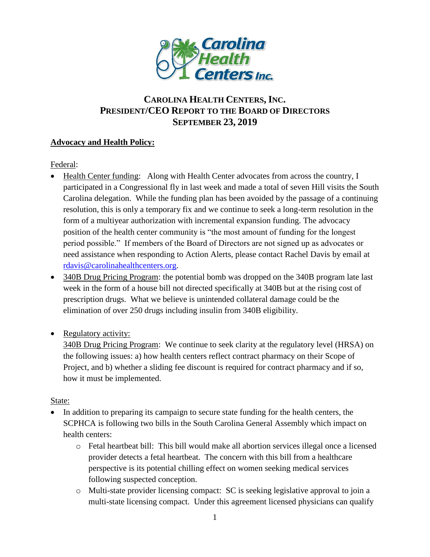

## **CAROLINA HEALTH CENTERS,INC. PRESIDENT/CEO REPORT TO THE BOARD OF DIRECTORS SEPTEMBER 23, 2019**

## **Advocacy and Health Policy:**

Federal:

- Health Center funding: Along with Health Center advocates from across the country, I participated in a Congressional fly in last week and made a total of seven Hill visits the South Carolina delegation. While the funding plan has been avoided by the passage of a continuing resolution, this is only a temporary fix and we continue to seek a long-term resolution in the form of a multiyear authorization with incremental expansion funding. The advocacy position of the health center community is "the most amount of funding for the longest period possible." If members of the Board of Directors are not signed up as advocates or need assistance when responding to Action Alerts, please contact Rachel Davis by email at [rdavis@carolinahealthcenters.org.](mailto:rdavis@carolinahealthcenters.org)
- 340B Drug Pricing Program: the potential bomb was dropped on the 340B program late last week in the form of a house bill not directed specifically at 340B but at the rising cost of prescription drugs. What we believe is unintended collateral damage could be the elimination of over 250 drugs including insulin from 340B eligibility.
- Regulatory activity:

340B Drug Pricing Program: We continue to seek clarity at the regulatory level (HRSA) on the following issues: a) how health centers reflect contract pharmacy on their Scope of Project, and b) whether a sliding fee discount is required for contract pharmacy and if so, how it must be implemented.

## State:

- In addition to preparing its campaign to secure state funding for the health centers, the SCPHCA is following two bills in the South Carolina General Assembly which impact on health centers:
	- o Fetal heartbeat bill: This bill would make all abortion services illegal once a licensed provider detects a fetal heartbeat. The concern with this bill from a healthcare perspective is its potential chilling effect on women seeking medical services following suspected conception.
	- o Multi-state provider licensing compact: SC is seeking legislative approval to join a multi-state licensing compact. Under this agreement licensed physicians can qualify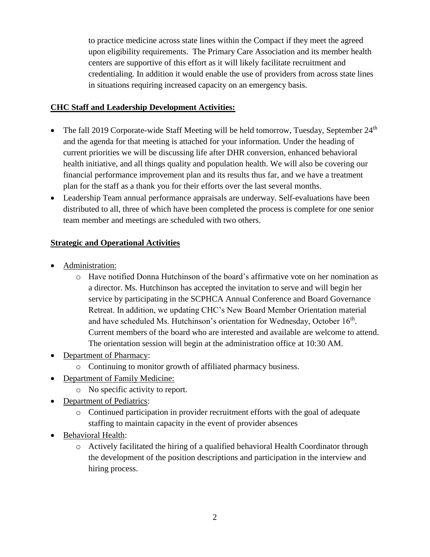to practice medicine across state lines within the Compact if they meet the agreed upon eligibility requirements. The Primary Care Association and its member health centers are supportive of this effort as it will likely facilitate recruitment and credentialing. In addition it would enable the use of providers from across state lines in situations requiring increased capacity on an emergency basis.

## **CHC Staff and Leadership Development Activities:**

- The fall 2019 Corporate-wide Staff Meeting will be held tomorrow, Tuesday, September  $24<sup>th</sup>$ and the agenda for that meeting is attached for your information. Under the heading of current priorities we will be discussing life after DHR conversion, enhanced behavioral health initiative, and all things quality and population health. We will also be covering our financial performance improvement plan and its results thus far, and we have a treatment plan for the staff as a thank you for their efforts over the last several months.
- Leadership Team annual performance appraisals are underway. Self-evaluations have been distributed to all, three of which have been completed the process is complete for one senior team member and meetings are scheduled with two others.

## **Strategic and Operational Activities**

- Administration:
	- o Have notified Donna Hutchinson of the board's affirmative vote on her nomination as a director. Ms. Hutchinson has accepted the invitation to serve and will begin her service by participating in the SCPHCA Annual Conference and Board Governance Retreat. In addition, we updating CHC's New Board Member Orientation material and have scheduled Ms. Hutchinson's orientation for Wednesday, October 16<sup>th</sup>. Current members of the board who are interested and available are welcome to attend. The orientation session will begin at the administration office at 10:30 AM.
- Department of Pharmacy:
	- o Continuing to monitor growth of affiliated pharmacy business.
- Department of Family Medicine:
	- o No specific activity to report.
- Department of Pediatrics:
	- o Continued participation in provider recruitment efforts with the goal of adequate staffing to maintain capacity in the event of provider absences
- Behavioral Health:
	- o Actively facilitated the hiring of a qualified behavioral Health Coordinator through the development of the position descriptions and participation in the interview and hiring process.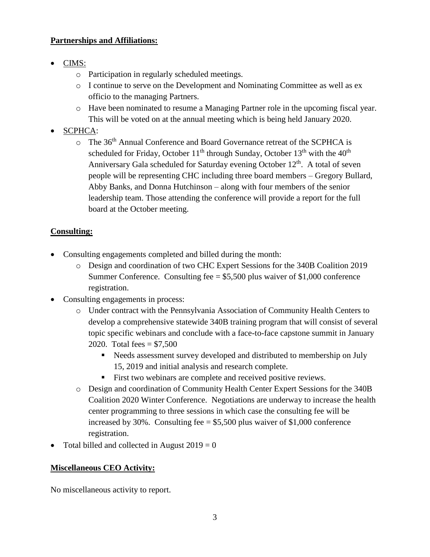#### **Partnerships and Affiliations:**

- CIMS:
	- o Participation in regularly scheduled meetings.
	- o I continue to serve on the Development and Nominating Committee as well as ex officio to the managing Partners.
	- o Have been nominated to resume a Managing Partner role in the upcoming fiscal year. This will be voted on at the annual meeting which is being held January 2020.
- SCPHCA:
	- o The 36th Annual Conference and Board Governance retreat of the SCPHCA is scheduled for Friday, October  $11<sup>th</sup>$  through Sunday, October  $13<sup>th</sup>$  with the  $40<sup>th</sup>$ Anniversary Gala scheduled for Saturday evening October  $12<sup>th</sup>$ . A total of seven people will be representing CHC including three board members – Gregory Bullard, Abby Banks, and Donna Hutchinson – along with four members of the senior leadership team. Those attending the conference will provide a report for the full board at the October meeting.

## **Consulting:**

- Consulting engagements completed and billed during the month:
	- o Design and coordination of two CHC Expert Sessions for the 340B Coalition 2019 Summer Conference. Consulting fee  $= $5,500$  plus waiver of \$1,000 conference registration.
- Consulting engagements in process:
	- o Under contract with the Pennsylvania Association of Community Health Centers to develop a comprehensive statewide 340B training program that will consist of several topic specific webinars and conclude with a face-to-face capstone summit in January 2020. Total fees =  $$7,500$ 
		- Needs assessment survey developed and distributed to membership on July 15, 2019 and initial analysis and research complete.
		- First two webinars are complete and received positive reviews.
	- o Design and coordination of Community Health Center Expert Sessions for the 340B Coalition 2020 Winter Conference. Negotiations are underway to increase the health center programming to three sessions in which case the consulting fee will be increased by 30%. Consulting fee  $= $5,500$  plus waiver of \$1,000 conference registration.
- Total billed and collected in August  $2019 = 0$

## **Miscellaneous CEO Activity:**

No miscellaneous activity to report.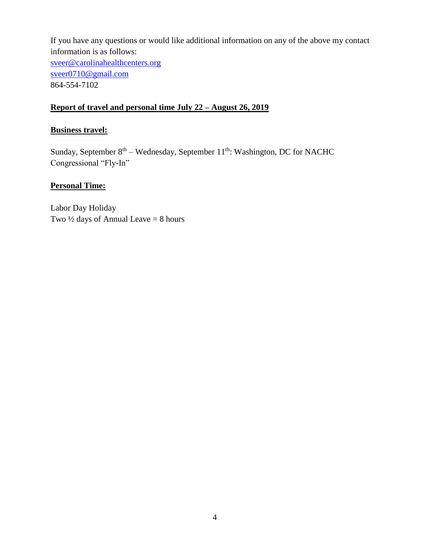If you have any questions or would like additional information on any of the above my contact information is as follows: [sveer@carolinahealthcenters.org](mailto:sveer@carolinahealthcenters.org) [sveer0710@gmail.com](mailto:sveer0710@gmail.com) 864-554-7102

#### **Report of travel and personal time July 22 – August 26, 2019**

## **Business travel:**

Sunday, September  $8<sup>th</sup> - Wednesday$ , September  $11<sup>th</sup>$ : Washington, DC for NACHC Congressional "Fly-In"

#### **Personal Time:**

Labor Day Holiday Two  $\frac{1}{2}$  days of Annual Leave = 8 hours